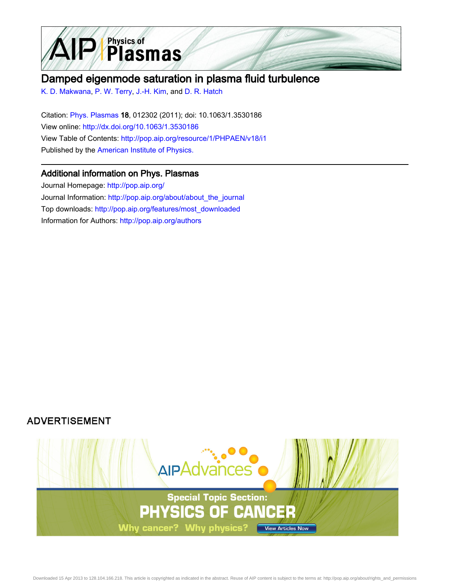

# Damped eigenmode saturation in plasma fluid turbulence

[K. D. Makwana,](http://pop.aip.org/search?sortby=newestdate&q=&searchzone=2&searchtype=searchin&faceted=faceted&key=AIP_ALL&possible1=K. D. Makwana&possible1zone=author&alias=&displayid=AIP&ver=pdfcov) [P. W. Terry,](http://pop.aip.org/search?sortby=newestdate&q=&searchzone=2&searchtype=searchin&faceted=faceted&key=AIP_ALL&possible1=P. W. Terry&possible1zone=author&alias=&displayid=AIP&ver=pdfcov) [J.-H. Kim](http://pop.aip.org/search?sortby=newestdate&q=&searchzone=2&searchtype=searchin&faceted=faceted&key=AIP_ALL&possible1=J.-H. Kim&possible1zone=author&alias=&displayid=AIP&ver=pdfcov), and [D. R. Hatch](http://pop.aip.org/search?sortby=newestdate&q=&searchzone=2&searchtype=searchin&faceted=faceted&key=AIP_ALL&possible1=D. R. Hatch&possible1zone=author&alias=&displayid=AIP&ver=pdfcov)

Citation: [Phys. Plasmas](http://pop.aip.org/?ver=pdfcov) 18, 012302 (2011); doi: 10.1063/1.3530186 View online: [http://dx.doi.org/10.1063/1.3530186](http://link.aip.org/link/doi/10.1063/1.3530186?ver=pdfcov) View Table of Contents: [http://pop.aip.org/resource/1/PHPAEN/v18/i1](http://pop.aip.org/resource/1/PHPAEN/v18/i1?ver=pdfcov) Published by the [American Institute of Physics.](http://www.aip.org/?ver=pdfcov)

# Additional information on Phys. Plasmas

Journal Homepage: [http://pop.aip.org/](http://pop.aip.org/?ver=pdfcov) Journal Information: [http://pop.aip.org/about/about\\_the\\_journal](http://pop.aip.org/about/about_the_journal?ver=pdfcov) Top downloads: [http://pop.aip.org/features/most\\_downloaded](http://pop.aip.org/features/most_downloaded?ver=pdfcov) Information for Authors: [http://pop.aip.org/authors](http://pop.aip.org/authors?ver=pdfcov)

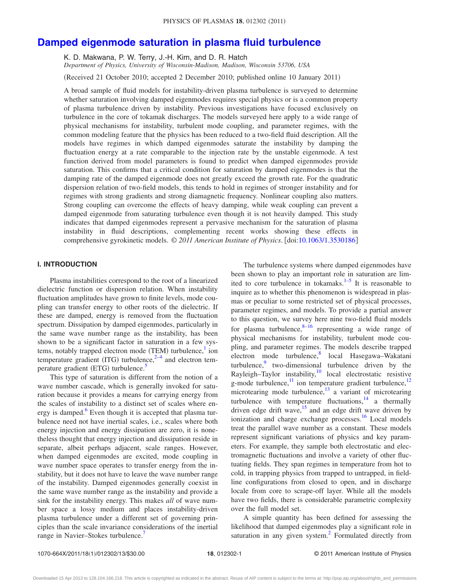# **[Damped eigenmode saturation in plasma fluid turbulence](http://dx.doi.org/10.1063/1.3530186)**

K. D. Makwana, P. W. Terry, J.-H. Kim, and D. R. Hatch

*Department of Physics, University of Wisconsin-Madison, Madison, Wisconsin 53706, USA*

(Received 21 October 2010; accepted 2 December 2010; published online 10 January 2011)

A broad sample of fluid models for instability-driven plasma turbulence is surveyed to determine whether saturation involving damped eigenmodes requires special physics or is a common property of plasma turbulence driven by instability. Previous investigations have focused exclusively on turbulence in the core of tokamak discharges. The models surveyed here apply to a wide range of physical mechanisms for instability, turbulent mode coupling, and parameter regimes, with the common modeling feature that the physics has been reduced to a two-field fluid description. All the models have regimes in which damped eigenmodes saturate the instability by damping the fluctuation energy at a rate comparable to the injection rate by the unstable eigenmode. A test function derived from model parameters is found to predict when damped eigenmodes provide saturation. This confirms that a critical condition for saturation by damped eigenmodes is that the damping rate of the damped eigenmode does not greatly exceed the growth rate. For the quadratic dispersion relation of two-field models, this tends to hold in regimes of stronger instability and for regimes with strong gradients and strong diamagnetic frequency. Nonlinear coupling also matters. Strong coupling can overcome the effects of heavy damping, while weak coupling can prevent a damped eigenmode from saturating turbulence even though it is not heavily damped. This study indicates that damped eigenmodes represent a pervasive mechanism for the saturation of plasma instability in fluid descriptions, complementing recent works showing these effects in comprehensive gyrokinetic models. © 2011 American Institute of Physics. [doi[:10.1063/1.3530186](http://dx.doi.org/10.1063/1.3530186)]

## **I. INTRODUCTION**

Plasma instabilities correspond to the root of a linearized dielectric function or dispersion relation. When instability fluctuation amplitudes have grown to finite levels, mode coupling can transfer energy to other roots of the dielectric. If these are damped, energy is removed from the fluctuation spectrum. Dissipation by damped eigenmodes, particularly in the same wave number range as the instability, has been shown to be a significant factor in saturation in a few systems, notably trapped electron mode (TEM) turbulence,<sup>1</sup> ion temperature gradient (ITG) turbulence, $2^{-4}$  $2^{-4}$  $2^{-4}$  and electron temperature gradient (ETG) turbulence.<sup>5</sup>

This type of saturation is different from the notion of a wave number cascade, which is generally invoked for saturation because it provides a means for carrying energy from the scales of instability to a distinct set of scales where energy is damped. $^{\circ}$  Even though it is accepted that plasma turbulence need not have inertial scales, i.e., scales where both energy injection and energy dissipation are zero, it is nonetheless thought that energy injection and dissipation reside in separate, albeit perhaps adjacent, scale ranges. However, when damped eigenmodes are excited, mode coupling in wave number space operates to transfer energy from the instability, but it does not have to leave the wave number range of the instability. Damped eigenmodes generally coexist in the same wave number range as the instability and provide a sink for the instability energy. This makes *all* of wave number space a lossy medium and places instability-driven plasma turbulence under a different set of governing principles than the scale invariance considerations of the inertial range in Navier–Stokes turbulence.

The turbulence systems where damped eigenmodes have been shown to play an important role in saturation are limited to core turbulence in tokamaks. $1-5$  It is reasonable to inquire as to whether this phenomenon is widespread in plasmas or peculiar to some restricted set of physical processes, parameter regimes, and models. To provide a partial answer to this question, we survey here nine two-field fluid models for plasma turbulence,  $8-16$  $8-16$  representing a wide range of physical mechanisms for instability, turbulent mode coupling, and parameter regimes. The models describe trapped electron mode turbulence, $\frac{8}{3}$  local Hasegawa–Wakatani turbulence, $9$  two-dimensional turbulence driven by the Rayleigh–Taylor instability, $\frac{10}{10}$  local electrostatic resistive g-mode turbulence, $\frac{11}{11}$  ion temperature gradient turbulence, $\frac{12}{12}$ microtearing mode turbulence, $13$  a variant of microtearing turbulence with temperature fluctuations, $14$  a thermally driven edge drift wave, $15$  and an edge drift wave driven by ionization and charge exchange processes.<sup>16</sup> Local models treat the parallel wave number as a constant. These models represent significant variations of physics and key parameters. For example, they sample both electrostatic and electromagnetic fluctuations and involve a variety of other fluctuating fields. They span regimes in temperature from hot to cold, in trapping physics from trapped to untrapped, in fieldline configurations from closed to open, and in discharge locale from core to scrape-off layer. While all the models have two fields, there is considerable parametric complexity over the full model set.

A simple quantity has been defined for assessing the likelihood that damped eigenmodes play a significant role in saturation in any given system. $\frac{2}{3}$  Formulated directly from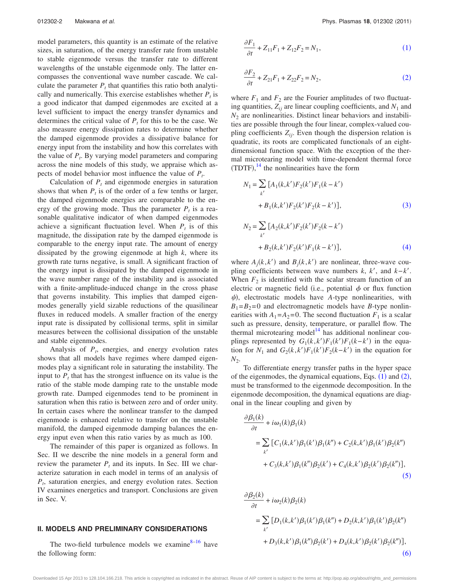model parameters, this quantity is an estimate of the relative sizes, in saturation, of the energy transfer rate from unstable to stable eigenmode versus the transfer rate to different wavelengths of the unstable eigenmode only. The latter encompasses the conventional wave number cascade. We calculate the parameter  $P_t$  that quantifies this ratio both analytically and numerically. This exercise establishes whether  $P_t$  is a good indicator that damped eigenmodes are excited at a level sufficient to impact the energy transfer dynamics and determines the critical value of  $P_t$  for this to be the case. We also measure energy dissipation rates to determine whether the damped eigenmode provides a dissipative balance for energy input from the instability and how this correlates with the value of  $P_t$ . By varying model parameters and comparing across the nine models of this study, we appraise which aspects of model behavior most influence the value of  $P_t$ .

Calculation of  $P_t$  and eigenmode energies in saturation shows that when  $P_t$  is of the order of a few tenths or larger, the damped eigenmode energies are comparable to the energy of the growing mode. Thus the parameter  $P_t$  is a reasonable qualitative indicator of when damped eigenmodes achieve a significant fluctuation level. When  $P_t$  is of this magnitude, the dissipation rate by the damped eigenmode is comparable to the energy input rate. The amount of energy dissipated by the growing eigenmode at high *k*, where its growth rate turns negative, is small. A significant fraction of the energy input is dissipated by the damped eigenmode in the wave number range of the instability and is associated with a finite-amplitude-induced change in the cross phase that governs instability. This implies that damped eigenmodes generally yield sizable reductions of the quasilinear fluxes in reduced models. A smaller fraction of the energy input rate is dissipated by collisional terms, split in similar measures between the collisional dissipation of the unstable and stable eigenmodes.

Analysis of  $P_t$ , energies, and energy evolution rates shows that all models have regimes where damped eigenmodes play a significant role in saturating the instability. The input to  $P_t$  that has the strongest influence on its value is the ratio of the stable mode damping rate to the unstable mode growth rate. Damped eigenmodes tend to be prominent in saturation when this ratio is between zero and of order unity. In certain cases where the nonlinear transfer to the damped eigenmode is enhanced relative to transfer on the unstable manifold, the damped eigenmode damping balances the energy input even when this ratio varies by as much as 100.

The remainder of this paper is organized as follows. In Sec. II we describe the nine models in a general form and review the parameter  $P_t$  and its inputs. In Sec. III we characterize saturation in each model in terms of an analysis of *Pt* , saturation energies, and energy evolution rates. Section IV examines energetics and transport. Conclusions are given in Sec. V.

### **II. MODELS AND PRELIMINARY CONSIDERATIONS**

The two-field turbulence models we examine  $8-16$  have the following form:

<span id="page-2-0"></span>
$$
\frac{\partial F_1}{\partial t} + Z_{11}F_1 + Z_{12}F_2 = N_1,\tag{1}
$$

<span id="page-2-1"></span>
$$
\frac{\partial F_2}{\partial t} + Z_{21}F_1 + Z_{22}F_2 = N_2, \tag{2}
$$

where  $F_1$  and  $F_2$  are the Fourier amplitudes of two fluctuating quantities,  $Z_{ij}$  are linear coupling coefficients, and  $N_1$  and  $N_2$  are nonlinearities. Distinct linear behaviors and instabilities are possible through the four linear, complex-valued coupling coefficients  $Z_{ij}$ . Even though the dispersion relation is quadratic, its roots are complicated functionals of an eightdimensional function space. With the exception of the thermal microtearing model with time-dependent thermal force  $(TDTF)$ ,<sup>[14](#page-13-13)</sup> the nonlinearities have the form

<span id="page-2-2"></span>
$$
N_1 = \sum_{k'} [A_1(k, k') F_2(k') F_1(k - k') + B_1(k, k') F_2(k') F_2(k - k')],
$$
\n(3)

<span id="page-2-3"></span>
$$
N_2 = \sum_{k'} [A_2(k, k') F_2(k') F_2(k - k') + B_2(k, k') F_2(k') F_1(k - k')],
$$
\n(4)

where  $A_j(k, k')$  and  $B_j(k, k')$  are nonlinear, three-wave coupling coefficients between wave numbers  $k, k'$ , and  $k-k'$ . When  $F_2$  is identified with the scalar stream function of an electric or magnetic field (i.e., potential  $\phi$  or flux function  $\psi$ ), electrostatic models have *A*-type nonlinearities, with  $B_1 = B_2 = 0$  and electromagnetic models have *B*-type nonlinearities with  $A_1 = A_2 = 0$ . The second fluctuation  $F_1$  is a scalar such as pressure, density, temperature, or parallel flow. The thermal microtearing model<sup>14</sup> has additional nonlinear couplings represented by  $G_1(k, k')F_1(k')F_1(k-k')$  in the equation for  $N_1$  and  $G_2(k, k')F_1(k')F_2(k-k')$  in the equation for  $N_2$ .

To differentiate energy transfer paths in the hyper space of the eigenmodes, the dynamical equations, Eqs.  $(1)$  $(1)$  $(1)$  and  $(2)$  $(2)$  $(2)$ , must be transformed to the eigenmode decomposition. In the eigenmode decomposition, the dynamical equations are diagonal in the linear coupling and given by

<span id="page-2-4"></span>
$$
\frac{\partial \beta_1(k)}{\partial t} + i\omega_1(k)\beta_1(k)
$$
\n
$$
= \sum_{k'} [C_1(k, k')\beta_1(k')\beta_1(k'') + C_2(k, k')\beta_1(k')\beta_2(k'') + C_3(k, k')\beta_1(k'')\beta_2(k') + C_4(k, k')\beta_2(k')\beta_2(k'')],
$$
\n(5)

<span id="page-2-5"></span>
$$
\frac{\partial \beta_2(k)}{\partial t} + i \omega_2(k) \beta_2(k)
$$
\n
$$
= \sum_{k'} [D_1(k, k') \beta_1(k') \beta_1(k'') + D_2(k, k') \beta_1(k') \beta_2(k'') + D_3(k, k') \beta_1(k'') \beta_2(k') + D_4(k, k') \beta_2(k') \beta_2(k'')],
$$
\n(6)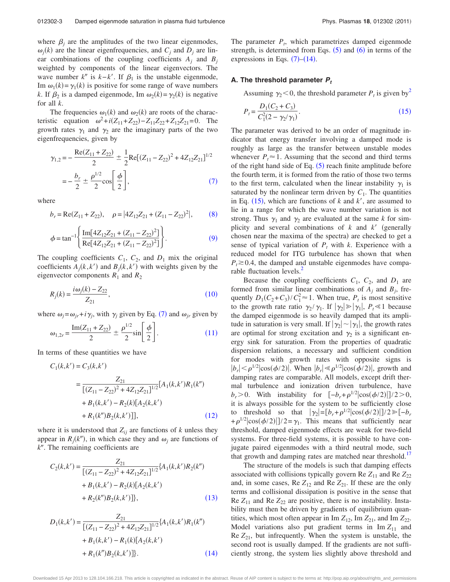where  $\beta_i$  are the amplitudes of the two linear eigenmodes,  $\omega_j(k)$  are the linear eigenfrequencies, and  $C_j$  and  $D_j$  are linear combinations of the coupling coefficients  $A_i$  and  $B_i$ weighted by components of the linear eigenvectors. The wave number  $k''$  is  $k-k'$ . If  $\beta_1$  is the unstable eigenmode, Im  $\omega_1(k) = \gamma_1(k)$  is positive for some range of wave numbers *k*. If  $\beta_2$  is a damped eigenmode, Im  $\omega_2(k) = \gamma_2(k)$  is negative for all *k*.

The frequencies  $\omega_1(k)$  and  $\omega_2(k)$  are roots of the characteristic equation  $\omega^2 + i(Z_{11} + Z_{22}) - Z_{11}Z_{22} + Z_{12}Z_{21} = 0$ . The growth rates  $\gamma_1$  and  $\gamma_2$  are the imaginary parts of the two eigenfrequencies, given by

<span id="page-3-0"></span>
$$
\gamma_{1,2} = -\frac{\text{Re}(Z_{11} + Z_{22})}{2} \pm \frac{1}{2} \text{Re}[(Z_{11} - Z_{22})^2 + 4Z_{12}Z_{21}]^{1/2}
$$

$$
= -\frac{b_r}{2} \pm \frac{\rho^{1/2}}{2} \cos\left(\frac{\phi}{2}\right),\tag{7}
$$

<span id="page-3-1"></span>where

$$
b_r = \text{Re}(Z_{11} + Z_{22}), \quad \rho = |4Z_{12}Z_{21} + (Z_{11} - Z_{22})^2|, \tag{8}
$$

<span id="page-3-2"></span>
$$
\phi = \tan^{-1} \left\{ \frac{\text{Im}[4Z_{12}Z_{21} + (Z_{11} - Z_{22})^2]}{\text{Re}[4Z_{12}Z_{21} + (Z_{11} - Z_{22})^2]} \right\}.
$$
\n(9)

The coupling coefficients  $C_1$ ,  $C_2$ , and  $D_1$  mix the original coefficients  $A_j(k, k')$  and  $B_j(k, k')$  with weights given by the eigenvector components  $R_1$  and  $R_2$ 

<span id="page-3-3"></span>
$$
R_j(k) = \frac{i\omega_j(k) - Z_{22}}{Z_{21}},
$$
\n(10)

<span id="page-3-4"></span>where  $\omega_j = \omega_{jr} + i\gamma_j$ , with  $\gamma_j$  given by Eq. ([7](#page-3-0)) and  $\omega_{jr}$  given by

$$
\omega_{1,2r} = \frac{\text{Im}(Z_{11} + Z_{22})}{2} \pm \frac{\rho^{1/2}}{2} \sin\left[\frac{\phi}{2}\right].
$$
 (11)

<span id="page-3-5"></span>In terms of these quantities we have

$$
C_1(k, k') = C_3(k, k')
$$
  
= 
$$
\frac{Z_{21}}{[(Z_{11} - Z_{22})^2 + 4Z_{12}Z_{21}]^{1/2}} [A_1(k, k')R_1(k'') + B_1(k, k') - R_2(k)[A_2(k, k') + R_1(k'')B_2(k, k')]]
$$
, (12)

where it is understood that  $Z_{ij}$  are functions of  $k$  unless they appear in  $R_j(k'')$ , in which case they and  $\omega_j$  are functions of *k*. The remaining coefficients are

<span id="page-3-6"></span>
$$
C_{2}(k,k') = \frac{Z_{21}}{[(Z_{11} - Z_{22})^{2} + 4Z_{12}Z_{21}]^{1/2}} \{A_{1}(k,k')R_{2}(k'') + B_{1}(k,k') - R_{2}(k)[A_{2}(k,k') + R_{2}(k'')B_{2}(k,k')]\},
$$
\n(13)

<span id="page-3-7"></span>
$$
D_1(k, k') = \frac{Z_{21}}{[(Z_{11} - Z_{22})^2 + 4Z_{12}Z_{21}]^{1/2}} \{A_1(k, k')R_1(k'') + B_1(k, k') - R_1(k)[A_2(k, k') + R_1(k'')B_2(k, k')]\}.
$$
 (14)

Phys. Plasmas 18, 012302 (2011)

The parameter  $P_t$ , which parametrizes damped eigenmode strength, is determined from Eqs.  $(5)$  $(5)$  $(5)$  and  $(6)$  $(6)$  $(6)$  in terms of the expressions in Eqs.  $(7)-(14)$  $(7)-(14)$  $(7)-(14)$  $(7)-(14)$  $(7)-(14)$ .

#### **A.** The threshold parameter  $P_t$

Assuming  $\gamma_2 < 0$ , the threshold parameter  $P_t$  is given by<sup>2</sup>

<span id="page-3-8"></span>
$$
P_t = \frac{D_1(C_2 + C_3)}{C_1^2(2 - \gamma_2/\gamma_1)}.
$$
\n(15)

The parameter was derived to be an order of magnitude indicator that energy transfer involving a damped mode is roughly as large as the transfer between unstable modes whenever  $P_t \approx 1$ . Assuming that the second and third terms of the right hand side of Eq.  $(5)$  $(5)$  $(5)$  reach finite amplitude before the fourth term, it is formed from the ratio of those two terms to the first term, calculated when the linear instability  $\gamma_1$  is saturated by the nonlinear term driven by  $C_1$ . The quantities in Eq.  $(15)$  $(15)$  $(15)$ , which are functions of *k* and *k'*, are assumed to lie in a range for which the wave number variation is not strong. Thus  $\gamma_1$  and  $\gamma_2$  are evaluated at the same *k* for simplicity and several combinations of  $k$  and  $k'$  (generally chosen near the maxima of the spectra) are checked to get a sense of typical variation of  $P_t$  with  $k$ . Experience with a reduced model for ITG turbulence has shown that when  $P_t \geq 0.4$ , the damped and unstable eigenmodes have comparable fluctuation levels.<sup>2</sup>

Because the coupling coefficients  $C_1$ ,  $C_2$ , and  $D_1$  are formed from similar linear combinations of  $A_i$  and  $B_j$ , frequently  $D_1(C_2 + C_3)/C_1^2 \approx 1$ . When true,  $P_t$  is most sensitive to the growth rate ratio  $\gamma_2 / \gamma_1$ . If  $|\gamma_2| \ge |\gamma_1|$ ,  $P_t \le 1$  because the damped eigenmode is so heavily damped that its amplitude in saturation is very small. If  $|\gamma_2| \sim |\gamma_1|$ , the growth rates are optimal for strong excitation and  $\gamma_2$  is a significant energy sink for saturation. From the properties of quadratic dispersion relations, a necessary and sufficient condition for modes with growth rates with opposite signs is  $|b_r| < \rho^{1/2} |\cos(\phi/2)|$ . When  $|b_r| \le \rho^{1/2} |\cos(\phi/2)|$ , growth and damping rates are comparable. All models, except drift thermal turbulence and ionization driven turbulence, have  $b_r$  > 0. With instability for  $[-b_r + \rho^{1/2} | \cos(\phi/2) |]/2$  > 0, it is always possible for the system to be sufficiently close to threshold so that  $|\gamma_2| = [b_r + \rho^{1/2} |\cos(\phi/2)|]/2 \ge [-b_r]$  $+\rho^{1/2}|\cos(\phi/2)|]/2 = \gamma_1$ . This means that sufficiently near threshold, damped eigenmode effects are weak for two-field systems. For three-field systems, it is possible to have conjugate paired eigenmodes with a third neutral mode, such that growth and damping rates are matched near threshold.<sup>17</sup>

The structure of the models is such that damping effects associated with collisions typically govern Re  $Z_{11}$  and Re  $Z_{22}$ and, in some cases, Re  $Z_{12}$  and Re  $Z_{21}$ . If these are the only terms and collisional dissipation is positive in the sense that Re  $Z_{11}$  and Re  $Z_{22}$  are positive, there is no instability. Instability must then be driven by gradients of equilibrium quantities, which most often appear in Im  $Z_{12}$ , Im  $Z_{21}$ , and Im  $Z_{22}$ . Model variations also put gradient terms in  $Im Z_{11}$  and Re  $Z_{21}$ , but infrequently. When the system is unstable, the second root is usually damped. If the gradients are not sufficiently strong, the system lies slightly above threshold and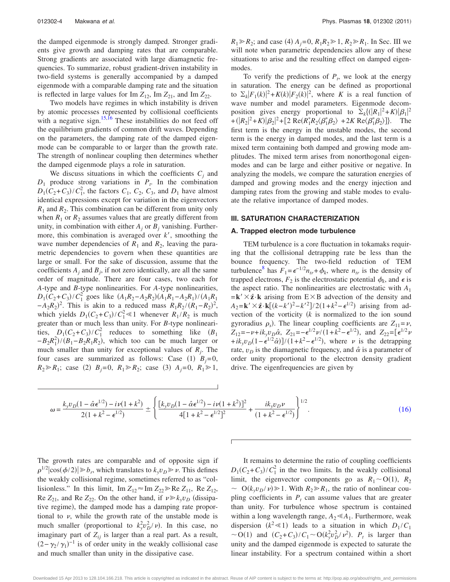the damped eigenmode is strongly damped. Stronger gradients give growth and damping rates that are comparable. Strong gradients are associated with large diamagnetic frequencies. To summarize, robust gradient-driven instability in two-field systems is generally accompanied by a damped eigenmode with a comparable damping rate and the situation is reflected in large values for  $\text{Im } Z_{12}$ ,  $\text{Im } Z_{21}$ , and  $\text{Im } Z_{22}$ .

Two models have regimes in which instability is driven by atomic processes represented by collisional coefficients with a negative sign.<sup>15[,16](#page-13-7)</sup> These instabilities do not feed off the equilibrium gradients of common drift waves. Depending on the parameters, the damping rate of the damped eigenmode can be comparable to or larger than the growth rate. The strength of nonlinear coupling then determines whether the damped eigenmode plays a role in saturation.

We discuss situations in which the coefficients  $C_i$  and  $D_1$  produce strong variations in  $P_t$ . In the combination  $D_1(C_2 + C_3)/C_1^2$ , the factors  $C_1$ ,  $C_2$ ,  $C_3$ , and  $D_1$  have almost identical expressions except for variation in the eigenvectors  $R_1$  and  $R_2$ . This combination can be different from unity only when  $R_1$  or  $R_2$  assumes values that are greatly different from unity, in combination with either  $A_i$  or  $B_j$  vanishing. Furthermore, this combination is averaged over  $k'$ , smoothing the wave number dependencies of  $R_1$  and  $R_2$ , leaving the parametric dependencies to govern when these quantities are large or small. For the sake of discussion, assume that the coefficients  $A_j$  and  $B_j$ , if not zero identically, are all the same order of magnitude. There are four cases, two each for *A*-type and *B*-type nonlinearities. For *A*-type nonlinearities,  $D_1(C_2 + C_3)/C_1^2$  goes like  $(A_1R_2 - A_2R_2)(A_1R_1 - A_2R_1)/(A_1R_1$  $-A_2R_2$ <sup>2</sup>. This is akin to a reduced mass  $R_1R_2/(R_1-R_2)^2$ , which yields  $D_1(C_2 + C_3)/C_1^2 \le 1$  whenever  $R_1/R_2$  is much greater than or much less than unity. For *B*-type nonlinearities,  $D_1(C_2 + C_3)/C_1^2$  reduces to something like  $(B_1$  $-B_2R_1^2$ )/ $(B_1 - B_2R_1R_2)$ , which too can be much larger or much smaller than unity for exceptional values of  $R_i$ . The four cases are summarized as follows: Case (1)  $B_j = 0$ ,  $R_2 \ge R_1$ ; case (2)  $B_j = 0$ ,  $R_1 \ge R_2$ ; case (3)  $A_j = 0$ ,  $R_1 \ge 1$ ,

 $R_1 \ge R_2$ ; and case (4)  $A_j = 0$ ,  $R_1 R_2 \ge 1$ ,  $R_2 \ge R_1$ . In Sec. III we will note when parametric dependencies allow any of these situations to arise and the resulting effect on damped eigenmodes.

To verify the predictions of  $P_t$ , we look at the energy in saturation. The energy can be defined as proportional to  $\sum_{k} |F_1(k)|^2 + K(k)|F_2(k)|^2$ , where *K* is a real function of wave number and model parameters. Eigenmode decomposition gives energy proportional to  $\Sigma_k\left(\frac{|R_1|^2+K|}{\beta_1}\right)^2$  $+(|R_2|^2 + K)|\beta_2|^2 + [2 \text{ Re}(R_1^*R_2\langle \beta_1^*\beta_2 \rangle + 2K \text{ Re}\langle \beta_1^*\beta_2 \rangle]).$  The first term is the energy in the unstable modes, the second term is the energy in damped modes, and the last term is a mixed term containing both damped and growing mode amplitudes. The mixed term arises from nonorthogonal eigenmodes and can be large and either positive or negative. In analyzing the models, we compare the saturation energies of damped and growing modes and the energy injection and damping rates from the growing and stable modes to evaluate the relative importance of damped modes.

#### **III. SATURATION CHARACTERIZATION**

#### **A. Trapped electron mode turbulence**

TEM turbulence is a core fluctuation in tokamaks requiring that the collisional detrapping rate be less than the bounce frequency. The two-field reduction of TEM turbulence<sup>8</sup> has  $F_1 = \epsilon^{-1/2} n_{tr} + \phi_k$ , where  $n_{tr}$  is the density of trapped electrons,  $F_2$  is the electrostatic potential  $\phi_k$ , and  $\epsilon$  is the aspect ratio. The nonlinearities are electrostatic with  $A_1$  $=$ **k**' $\times$  $\hat{\mathbf{z}}$ **·<b>k** arising from  $E \times B$  advection of the density and  $A_2 = \mathbf{k}' \times \hat{\mathbf{z}} \cdot \mathbf{k} \left[ (k - k')^2 - k'^2 \right] / 2(1 + k^2 - \epsilon^{1/2})$  arising from advection of the vorticity  $(k$  is normalized to the ion sound gyroradius  $\rho_s$ ). The linear coupling coefficients are  $Z_{11} = \nu$ ,  $Z_{12} = -\nu + ik_y v_D \hat{\alpha}$ ,  $Z_{21} = -\epsilon^{1/2} \nu / (1 + k^2 - \epsilon^{1/2})$ , and  $Z_{22} = [\epsilon^{1/2} \nu]$  $+i k_y v_D (1 - \epsilon^{1/2} \hat{\alpha})$ ]/(1+ $k^2 - \epsilon^{1/2}$ ), where  $\nu$  is the detrapping rate,  $v<sub>D</sub>$  is the diamagnetic frequency, and  $\hat{\alpha}$  is a parameter of order unity proportional to the electron density gradient drive. The eigenfrequencies are given by

<span id="page-4-0"></span>
$$
\omega = \frac{k_y v_D (1 - \hat{\alpha} \epsilon^{1/2}) - i\nu (1 + k^2)}{2(1 + k^2 - \epsilon^{1/2})} \pm \left\{ \frac{[k_y v_D (1 - \hat{\alpha} \epsilon^{1/2}) - i\nu (1 + k^2)]^2}{4[1 + k^2 - \epsilon^{1/2}]^2} + \frac{ik_y v_D \nu}{(1 + k^2 - \epsilon^{1/2})} \right\}^{1/2}.
$$
\n(16)

The growth rates are comparable and of opposite sign if  $\rho^{1/2} |\cos(\phi/2)| \gg b_r$ , which translates to  $k_y v_D \gg \nu$ . This defines the weakly collisional regime, sometimes referred to as "collisionless." In this limit,  $\text{Im } Z_{12} \approx \text{Im } Z_{22} \gg \text{Re } Z_{11}$ ,  $\text{Re } Z_{12}$ , Re  $Z_{21}$ , and Re  $Z_{22}$ . On the other hand, if  $\nu \gg k_y v_D$  (dissipative regime), the damped mode has a damping rate proportional to  $\nu$ , while the growth rate of the unstable mode is much smaller (proportional to  $k_y^2 v_D^2 / v$ ). In this case, no imaginary part of  $Z_{ij}$  is larger than a real part. As a result,  $(2 - \gamma_2 / \gamma_1)^{-1}$  is of order unity in the weakly collisional case and much smaller than unity in the dissipative case.

It remains to determine the ratio of coupling coefficients  $D_1(C_2 + C_3)/C_1^2$  in the two limits. In the weakly collisional limit, the eigenvector components go as  $R_1 \sim O(1)$ ,  $R_2$  $\sim$  O( $k_y v_D / v$ )  $\ge 1$ . With  $R_2 \ge R_1$ , the ratio of nonlinear coupling coefficients in  $P_t$  can assume values that are greater than unity. For turbulence whose spectrum is contained within a long wavelength range,  $A_2 \ll A_1$ . Furthermore, weak dispersion  $(k^2 \ll 1)$  leads to a situation in which  $D_1 / C_1$ ~ O(1) and  $(C_2 + C_3)/C_1 \sim O(k_y^2 v_D^2 / v^2)$ . *P<sub>t</sub>* is larger than unity and the damped eigenmode is expected to saturate the linear instability. For a spectrum contained within a short

Downloaded 15 Apr 2013 to 128.104.166.218. This article is copyrighted as indicated in the abstract. Reuse of AIP content is subject to the terms at: http://pop.aip.org/about/rights\_and\_permissions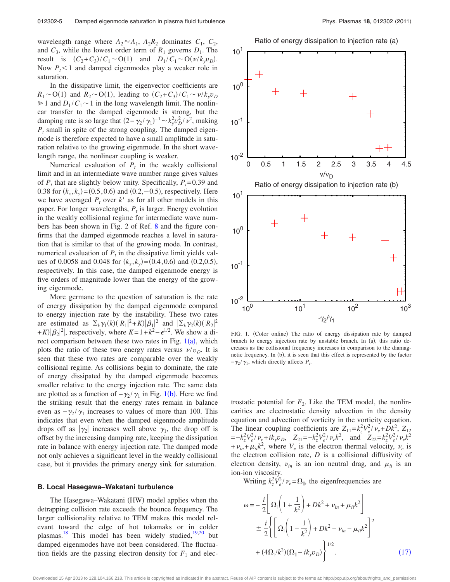wavelength range where  $A_2 \approx A_1$ ,  $A_2 R_2$  dominates  $C_1$ ,  $C_2$ , and  $C_3$ , while the lowest order term of  $R_1$  governs  $D_1$ . The result is  $(C_2 + C_3)/C_1 \sim O(1)$  and  $D_1/C_1 \sim O(\nu/k_y v_D)$ . Now  $P_t < 1$  and damped eigenmodes play a weaker role in saturation.

In the dissipative limit, the eigenvector coefficients are  $R_1 \sim O(1)$  and  $R_2 \sim O(1)$ , leading to  $(C_2 + C_3)/C_1 \sim \nu/k_y v_D$  $\geq 1$  and  $D_1 / C_1 \sim 1$  in the long wavelength limit. The nonlinear transfer to the damped eigenmode is strong, but the damping rate is so large that  $(2 - \gamma_2 / \gamma_1)^{-1} \sim k_y^2 v_D^2 / v^2$ , making  $P<sub>t</sub>$  small in spite of the strong coupling. The damped eigenmode is therefore expected to have a small amplitude in saturation relative to the growing eigenmode. In the short wavelength range, the nonlinear coupling is weaker.

Numerical evaluation of  $P_t$  in the weakly collisional limit and in an intermediate wave number range gives values of  $P_t$  that are slightly below unity. Specifically,  $P_t$ =0.39 and 0.38 for  $(k_x, k_y)$  = (0.5, 0.6) and (0.2, -0.5), respectively. Here we have averaged  $P_t$  over  $k'$  as for all other models in this paper. For longer wavelengths,  $P_t$  is larger. Energy evolution in the weakly collisional regime for intermediate wave numbers has been shown in Fig. 2 of Ref. [8](#page-13-6) and the figure confirms that the damped eigenmode reaches a level in saturation that is similar to that of the growing mode. In contrast, numerical evaluation of  $P<sub>t</sub>$  in the dissipative limit yields values of 0.0058 and 0.048 for  $(k_x, k_y) = (0.4, 0.6)$  and  $(0.2, 0.5)$ , respectively. In this case, the damped eigenmode energy is five orders of magnitude lower than the energy of the growing eigenmode.

More germane to the question of saturation is the rate of energy dissipation by the damped eigenmode compared to energy injection rate by the instability. These two rates are estimated as  $\Sigma_k \gamma_1(k) (|R_1|^2 + K) |\beta_1|^2$  and  $|\Sigma_k \gamma_2(k) (|R_2|^2)$  $+ K$  $|\beta_2|^2$ , respectively, where  $K = 1 + k^2 - \epsilon^{1/2}$ . We show a direct comparison between these two rates in Fig.  $1(a)$  $1(a)$ , which plots the ratio of these two energy rates versus  $v/v<sub>D</sub>$ . It is seen that these two rates are comparable over the weakly collisional regime. As collisions begin to dominate, the rate of energy dissipated by the damped eigenmode becomes smaller relative to the energy injection rate. The same data are plotted as a function of  $-\gamma_2 / \gamma_1$  $-\gamma_2 / \gamma_1$  in Fig. 1(b). Here we find the striking result that the energy rates remain in balance even as  $-\gamma_2 / \gamma_1$  increases to values of more than 100. This indicates that even when the damped eigenmode amplitude drops off as  $|\gamma_2|$  increases well above  $\gamma_1$ , the drop off is offset by the increasing damping rate, keeping the dissipation rate in balance with energy injection rate. The damped mode not only achieves a significant level in the weakly collisional case, but it provides the primary energy sink for saturation.

#### **B. Local Hasegawa–Wakatani turbulence**

The Hasegawa-Wakatani (HW) model applies when the detrapping collision rate exceeds the bounce frequency. The larger collisionality relative to TEM makes this model relevant toward the edge of hot tokamaks or in colder plasmas. $18$  This model has been widely studied,  $19,20$  $19,20$  but damped eigenmodes have not been considered. The fluctuation fields are the passing electron density for  $F_1$  and elec-

<span id="page-5-0"></span>

FIG. 1. (Color online) The ratio of energy dissipation rate by damped branch to energy injection rate by unstable branch. In (a), this ratio decreases as the collisional frequency increases in comparison to the diamagnetic frequency. In (b), it is seen that this effect is represented by the factor  $-\gamma_2/\gamma_1$ , which directly affects  $P_t$ .

trostatic potential for  $F_2$ . Like the TEM model, the nonlinearities are electrostatic density advection in the density equation and advection of vorticity in the vorticity equation. The linear coupling coefficients are  $Z_{11} = k_z^2 V_e^2 / v_e + Dk_z^2$ ,  $Z_{12}$  $=-k_z^2 V_e^2 / v_e + ik_y v_D$ ,  $Z_{21} = -k_z^2 V_e^2 / v_e k^2$ , and  $Z_{22} = k_z^2 V_e^2 / v_e k^2$  $+v_{in} + \mu_{ii} k^2$ , where  $V_e$  is the electron thermal velocity,  $v_e$  is the electron collision rate, *D* is a collisional diffusivity of electron density,  $v_{in}$  is an ion neutral drag, and  $\mu_{ii}$  is an ion-ion viscosity.

Writing  $k_z^2 V_e^2 / \nu_e = \Omega_{\parallel}$ , the eigenfrequencies are

<span id="page-5-1"></span>
$$
\omega = -\frac{i}{2} \left[ \Omega_{\parallel} \left( 1 + \frac{1}{k^2} \right) + Dk^2 + \nu_{in} + \mu_{ii} k^2 \right] \n= \frac{i}{2} \left\{ \left[ \Omega_{\parallel} \left( 1 - \frac{1}{k^2} \right) + Dk^2 - \nu_{in} - \mu_{ii} k^2 \right]^2 \right. \n+ (4\Omega_{\parallel}/k^2)(\Omega_{\parallel} - ik_y v_D) \right\}^{1/2} .
$$
\n(17)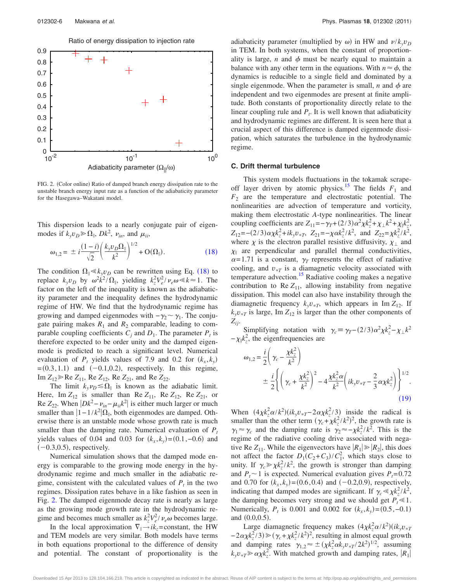<span id="page-6-1"></span>

Ratio of energy dissipation to injection rate

FIG. 2. (Color online) Ratio of damped branch energy dissipation rate to the unstable branch energy input rate as a function of the adiabaticity parameter for the Hasegawa–Wakatani model.

This dispersion leads to a nearly conjugate pair of eigenmodes if  $k_y v_D \ge \Omega_{\parallel}$ ,  $Dk^2$ ,  $v_{in}$ , and  $\mu_{ii}$ ,

<span id="page-6-0"></span>
$$
\omega_{1,2} = \pm i \frac{(1-i)}{\sqrt{2}} \left( \frac{k_y v_D \Omega_{\parallel}}{k^2} \right)^{1/2} + O(\Omega_{\parallel}). \tag{18}
$$

The condition  $\Omega_{\parallel} \ll k_y v_D$  can be rewritten using Eq. ([18](#page-6-0)) to replace  $k_y v_D$  by  $\omega^2 \dot{k}^2 / \Omega_{\parallel}$ , yielding  $k_z^2 V_e^2 / v_e \omega \ll k \approx 1$ . The factor on the left of the inequality is known as the adiabaticity parameter and the inequality defines the hydrodynamic regime of HW. We find that the hydrodynamic regime has growing and damped eigenmodes with  $-\gamma_2 \sim \gamma_1$ . The conjugate pairing makes  $R_1$  and  $R_2$  comparable, leading to comparable coupling coefficients  $C_i$  and  $D_1$ . The parameter  $P_t$  is therefore expected to be order unity and the damped eigenmode is predicted to reach a significant level. Numerical evaluation of  $P_t$  yields values of 7.9 and 0.2 for  $(k_x, k_y)$  $=(0.3, 1.1)$  and  $(-0.1, 0.2)$ , respectively. In this regime, Im  $Z_{12}$  Re  $Z_{11}$ , Re  $Z_{12}$ , Re  $Z_{21}$ , and Re  $Z_{22}$ .

The limit  $k_y \nu_D \leq \Omega_{\parallel}$  is known as the adiabatic limit. Here, Im  $Z_{12}$  is smaller than Re  $Z_{11}$ , Re  $Z_{12}$ , Re  $Z_{21}$ , or Re  $Z_{22}$ . When  $|Dk^2 - \nu_{in} - \mu_{ii}k^2|$  is either much larger or much smaller than  $\left|1 - 1/k^2\right|\Omega_{\parallel}$ , both eigenmodes are damped. Otherwise there is an unstable mode whose growth rate is much smaller than the damping rate. Numerical evaluation of  $P_t$ yields values of 0.04 and 0.03 for  $(k_x, k_y) = (0.1, -0.6)$  and  $(-0.3, 0.5)$ , respectively.

Numerical simulation shows that the damped mode energy is comparable to the growing mode energy in the hydrodynamic regime and much smaller in the adiabatic regime, consistent with the calculated values of  $P_t$  in the two regimes. Dissipation rates behave in a like fashion as seen in Fig. [2.](#page-6-1) The damped eigenmode decay rate is nearly as large as the growing mode growth rate in the hydrodynamic regime and becomes much smaller as  $k_z^2 V_e^2 / v_e \omega$  becomes large.

In the local approximation  $\nabla$ <sub>*i*</sub>  $\rightarrow$  *ik*<sub>z</sub>=constant, the HW and TEM models are very similar. Both models have terms in both equations proportional to the difference of density and potential. The constant of proportionality is the

adiabaticity parameter (multiplied by  $\omega$ ) in HW and  $\nu/k_yv_D$ in TEM. In both systems, when the constant of proportionality is large,  $n$  and  $\phi$  must be nearly equal to maintain a balance with any other term in the equations. With  $n \approx \phi$ , the dynamics is reducible to a single field and dominated by a single eigenmode. When the parameter is small,  $n$  and  $\phi$  are independent and two eigenmodes are present at finite amplitude. Both constants of proportionality directly relate to the linear coupling rule and  $P_t$ . It is well known that adiabaticity and hydrodynamic regimes are different. It is seen here that a crucial aspect of this difference is damped eigenmode dissipation, which saturates the turbulence in the hydrodynamic regime.

#### **C. Drift thermal turbulence**

This system models fluctuations in the tokamak scrapeoff layer driven by atomic physics.<sup>15</sup> The fields  $F_1$  and  $F<sub>2</sub>$  are the temperature and electrostatic potential. The nonlinearities are advection of temperature and vorticity, making them electrostatic *A*-type nonlinearities. The linear coupling coefficients are  $Z_{11} = -\gamma_T + (2/3)\alpha^2 \chi k_z^2 + \chi_{\perp} k^2 + \chi_{\parallel} k_z^2$ ,  $Z_{12} = -(2/3)\alpha \chi k_z^2 + ik_y v_{*T}$ ,  $Z_{21} = -\chi \alpha k_z^2 / k^2$ , and  $Z_{22} = \chi k_z^2 / k^2$ , where  $\chi$  is the electron parallel resistive diffusivity,  $\chi_{\perp}$  and  $\chi_{\parallel}$  are perpendicular and parallel thermal conductivities,  $\alpha$ = 1.71 is a constant,  $\gamma_T$  represents the effect of radiative cooling, and  $v_{\ast T}$  is a diamagnetic velocity associated with temperature advection.<sup>15</sup> Radiative cooling makes a negative contribution to  $\text{Re } Z_{11}$ , allowing instability from negative dissipation. This model can also have instability through the diamagnetic frequency  $k_y v_{\ast T}$ , which appears in Im  $Z_{12}$ . If  $k_y v_{\ast T}$  is large, Im  $Z_{12}$  is larger than the other components of *Zij*.

Simplifying notation with  $\gamma_c = \gamma_T$ - $(2/3)\alpha^2 \chi k_z^2 - \chi_\perp k^2$  $-\chi_{\parallel}k_z^2$ , the eigenfrequencies are

<span id="page-6-2"></span>
$$
\omega_{1,2} = \frac{i}{2} \left( \gamma_c - \frac{\chi k_z^2}{k^2} \right)
$$
  
=  $\frac{i}{2} \left\{ \left( \gamma_c + \frac{\chi k_z^2}{k^2} \right)^2 - 4 \frac{\chi k_z^2 \alpha}{k^2} \left( i k_y v_{*T} - \frac{2}{3} \alpha \chi k_z^2 \right) \right\}^{1/2}$ . (19)

When  $(4\chi k_z^2 \alpha/k^2)(ik_yv_{*T} - 2\alpha\chi k_z^2/3)$  inside the radical is smaller than the other term  $(\gamma_c + \chi k_z^2 / k^2)^2$ , the growth rate is  $\gamma_1 \approx \gamma_c$  and the damping rate is  $\gamma_2 \approx -\chi k_z^2 / k^2$ . This is the regime of the radiative cooling drive associated with negative Re  $Z_{11}$ . While the eigenvectors have  $|R_1|\geq R_2|$ , this does not affect the factor  $D_1(C_2 + C_3)/C_1^2$ , which stays close to unity. If  $\gamma_c \gg \chi k_z^2 / k^2$ , the growth is stronger than damping and  $P_t \sim 1$  is expected. Numerical evaluation gives  $P_t = 0.72$ and 0.70 for  $(k_x, k_y) = (0.6, 0.4)$  and  $(-0.2, 0.9)$ , respectively, indicating that damped modes are significant. If  $\gamma_c \ll \chi k_z^2 / k^2$ , the damping becomes very strong and we should get  $P_t \le 1$ . Numerically,  $P_t$  is 0.001 and 0.002 for  $(k_x, k_y) = (0.5, -0.1)$ and  $(0.0, 0.5)$ .

Large diamagnetic frequency makes  $(4\chi k_z^2 \alpha/k^2)(ik_yv_{*T})$  $-2\alpha\chi k_z^2/3$ )  $\geq (\gamma_c + \chi k_z^2/k^2)^2$ , resulting in almost equal growth and damping rates  $\gamma_{1,2} \approx \pm (\chi k_z^2 \alpha k_y v_{\ast T} / 2k^2)^{1/2}$ , assuming  $k_y v_{\ast T} \gg \alpha \chi k_z^2$ . With matched growth and damping rates,  $|R_1|$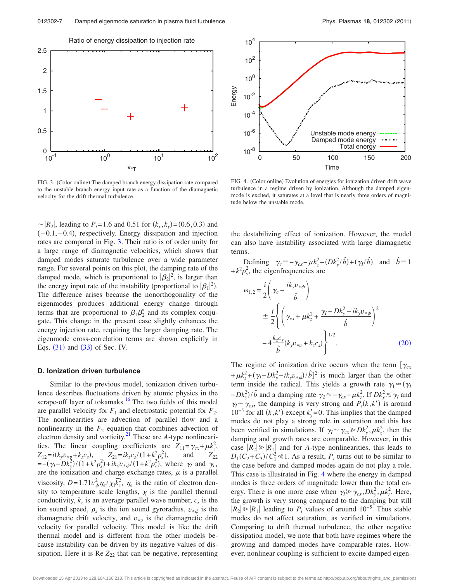<span id="page-7-0"></span>

FIG. 3. (Color online) The damped branch energy dissipation rate compared to the unstable branch energy input rate as a function of the diamagnetic velocity for the drift thermal turbulence.

 $\sim$  |*R*<sub>2</sub>|, leading to *P<sub>t</sub>*=1.6 and 0.51 for ( $k_x$ , $k_y$ ) = (0.6, 0.3) and  $(-0.1, -0.4)$ , respectively. Energy dissipation and injection rates are compared in Fig. [3.](#page-7-0) Their ratio is of order unity for a large range of diamagnetic velocities, which shows that damped modes saturate turbulence over a wide parameter range. For several points on this plot, the damping rate of the damped mode, which is proportional to  $|\beta_2|^2$ , is larger than the energy input rate of the instability (proportional to  $|\beta_1|^2$ ). The difference arises because the nonorthogonality of the eigenmodes produces additional energy change through terms that are proportional to  $\beta_1 \beta_2^*$  and its complex conjugate. This change in the present case slightly enhances the energy injection rate, requiring the larger damping rate. The eigenmode cross-correlation terms are shown explicitly in Eqs.  $(31)$  $(31)$  $(31)$  and  $(33)$  $(33)$  $(33)$  of Sec. IV.

#### **D. Ionization driven turbulence**

Similar to the previous model, ionization driven turbulence describes fluctuations driven by atomic physics in the scrape-off layer of tokamaks.<sup>16</sup> The two fields of this model are parallel velocity for  $F_1$  and electrostatic potential for  $F_2$ . The nonlinearities are advection of parallel flow and a nonlinearity in the  $F_2$  equation that combines advection of electron density and vorticity.<sup>21</sup> These are *A*-type nonlinearities. The linear coupling coefficients are  $Z_{11} = \gamma_{cx} + \mu k_z^2$ ,  $Z_{12} = i(k_y v_{\ast y} + k_z c_s),$   $Z_{21} = ik_z c_s/(1 + k_z^2 \rho_s^2)$ and  $Z_{22}$  $= -(\gamma_I - Dk_y^2) / (1 + k^2 \rho_s^2) + ik_y v_{*0} / (1 + k^2 \rho_s^2)$ , where  $\gamma_I$  and  $\gamma_{cx}$ are the ionization and charge exchange rates,  $\mu$  is a parallel viscosity,  $D = 1.71v_{\phi}^2 \eta_e / \chi_{\vert \bar{k}_z^2}^2$ ,  $\eta_e$  is the ratio of electron density to temperature scale lengths,  $\chi$  is the parallel thermal conductivity,  $k_z$  is an average parallel wave number,  $c_s$  is the ion sound speed,  $\rho_s$  is the ion sound gyroradius,  $v_{*}\phi$  is the diamagnetic drift velocity, and  $v_{*v}$  is the diamagnetic drift velocity for parallel velocity. This model is like the drift thermal model and is different from the other models because instability can be driven by its negative values of dissipation. Here it is  $\text{Re } Z_{22}$  that can be negative, representing

<span id="page-7-2"></span>

FIG. 4. (Color online) Evolution of energies for ionization driven drift wave turbulence in a regime driven by ionization. Although the damped eigenmode is excited, it saturates at a level that is nearly three orders of magnitude below the unstable mode.

the destabilizing effect of ionization. However, the model can also have instability associated with large diamagnetic terms.

Defining  $\gamma_c \equiv -\gamma_{cx} - \mu k_z^2 - (Dk_y^2/\hat{b}) + (\gamma_l/\hat{b})$  and  $\hat{b} \equiv 1$  $+k^2\rho_s^2$ , the eigenfrequencies are

<span id="page-7-1"></span>
$$
\omega_{1,2} = \frac{i}{2} \left( \gamma_c - \frac{ik_y v_{*\phi}}{\hat{b}} \right)
$$
  

$$
= \frac{i}{2} \left\{ \left( \gamma_{cx} + \mu k_z^2 + \frac{\gamma_I - Dk_y^2 - ik_y v_{*\phi}}{\hat{b}} \right)^2 - 4 \frac{k_z c_s}{\hat{b}} (k_y v_{*\nu} + k_z c_s) \right\}^{1/2}.
$$
 (20)

The regime of ionization drive occurs when the term  $[\gamma_{cx}]$  $+\mu k_z^2 + (\gamma_l - Dk_y^2 - ik_y v_{*\phi})/\hat{b}^2$  is much larger than the other term inside the radical. This yields a growth rate  $\gamma_1 \approx (\gamma_1$  $-Dk_y^2$ )/ $\hat{b}$  and a damping rate  $\gamma_2 \approx -\gamma_{cx} - \mu k_z^2$ . If  $Dk_y^2 \lesssim \gamma_l$  and  $\gamma_l \sim \gamma_{cx}$ , the damping is very strong and *P<sub>t</sub>*(*k, k'*) is around 10<sup>-5</sup> for all  $(k, k')$  except  $k'_y$  = 0. This implies that the damped modes do not play a strong role in saturation and this has been verified in simulations. If  $\gamma_1 \sim \gamma_{cx} \gg D k_y^2$ ,  $\mu k_z^2$ , then the damping and growth rates are comparable. However, in this case  $|R_2| \ge |R_1|$  and for *A*-type nonlinearities, this leads to  $D_1(C_2 + C_3)/C_1^2 \le 1$ . As a result,  $P_t$  turns out to be similar to the case before and damped modes again do not play a role. This case is illustrated in Fig. [4](#page-7-2) where the energy in damped modes is three orders of magnitude lower than the total energy. There is one more case when  $\gamma_l \gg \gamma_{cx}$ ,  $Dk_y^2$ ,  $\mu k_z^2$ . Here, the growth is very strong compared to the damping but still  $|R_2| \ge |R_1|$  leading to  $P_t$  values of around 10<sup>-5</sup>. Thus stable modes do not affect saturation, as verified in simulations. Comparing to drift thermal turbulence, the other negative dissipation model, we note that both have regimes where the growing and damped modes have comparable rates. However, nonlinear coupling is sufficient to excite damped eigen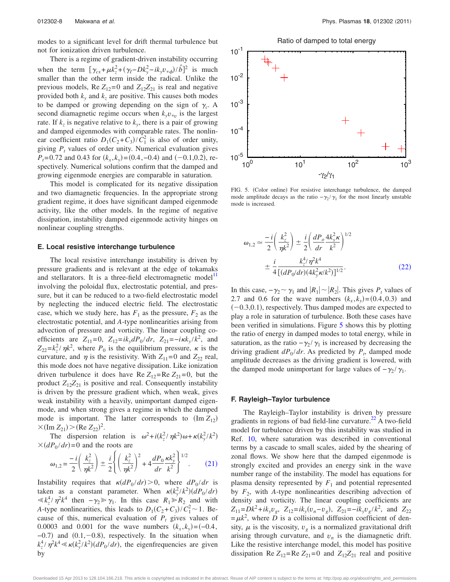modes to a significant level for drift thermal turbulence but not for ionization driven turbulence.

There is a regime of gradient-driven instability occurring when the term  $[\gamma_{cx} + \mu k_z^2 + (\gamma_I - Dk_y^2 - ik_y v_{*\phi})/\hat{b}]^2$  is much smaller than the other term inside the radical. Unlike the previous models, Re  $Z_{12}=0$  and  $Z_{12}Z_{21}$  is real and negative provided both  $k_y$  and  $k_z$  are positive. This causes both modes to be damped or growing depending on the sign of  $\gamma_c$ . A second diamagnetic regime occurs when  $k_y v_{\ast v}$  is the largest rate. If  $k_z$  is negative relative to  $k_y$ , there is a pair of growing and damped eigenmodes with comparable rates. The nonlinear coefficient ratio  $D_1(C_2 + C_3)/C_1^2$  is also of order unity, giving  $P_t$  values of order unity. Numerical evaluation gives  $P_t$ =0.72 and 0.43 for  $(k_x, k_y)$ =(0.4, -0.4) and (-0.1,0.2), respectively. Numerical solutions confirm that the damped and growing eigenmode energies are comparable in saturation.

This model is complicated for its negative dissipation and two diamagnetic frequencies. In the appropriate strong gradient regime, it does have significant damped eigenmode activity, like the other models. In the regime of negative dissipation, instability damped eigenmode activity hinges on nonlinear coupling strengths.

#### **E. Local resistive interchange turbulence**

The local resistive interchange instability is driven by pressure gradients and is relevant at the edge of tokamaks and stellarators. It is a three-field electromagnetic model<sup>11</sup> involving the poloidal flux, electrostatic potential, and pressure, but it can be reduced to a two-field electrostatic model by neglecting the induced electric field. The electrostatic case, which we study here, has  $F_1$  as the pressure,  $F_2$  as the electrostatic potential, and *A*-type nonlinearities arising from advection of pressure and vorticity. The linear coupling coefficients are  $Z_{11}=0$ ,  $Z_{12}=ik_ydP_0/dr$ ,  $Z_{21}=-i\kappa k_y/k^2$ , and  $Z_{22} = k_z^2 / \eta k^2$ , where  $P_0$  is the equilibrium pressure,  $\kappa$  is the curvature, and  $\eta$  is the resistivity. With  $Z_{11}=0$  and  $Z_{22}$  real, this mode does not have negative dissipation. Like ionization driven turbulence it does have Re  $Z_{12}=$ Re  $Z_{21}=0$ , but the product  $Z_{12}Z_{21}$  is positive and real. Consequently instability is driven by the pressure gradient which, when weak, gives weak instability with a heavily, unimportant damped eigenmode, and when strong gives a regime in which the damped mode is important. The latter corresponds to  $(\text{Im } Z_{12})$  $\times$ (Im  $Z_{21}$ ) > (Re  $Z_{22}$ )<sup>2</sup>.

The dispersion relation is  $\omega^2 + i(k_z^2 / \eta k^2) \omega + \kappa(k_y^2 / k^2)$  $\times (dP_0/dr) = 0$  and the roots are

<span id="page-8-0"></span>
$$
\omega_{1,2} = \frac{-i}{2} \left( \frac{k_z^2}{\eta k^2} \right) \pm \frac{i}{2} \left\{ \left( \frac{k_z^2}{\eta k^2} \right)^2 + 4 \frac{dP_0}{dr} \frac{\kappa k_y^2}{k^2} \right\}^{1/2}.
$$
 (21)

Instability requires that  $\kappa (dP_0/dr) > 0$ , where  $dP_0/dr$  is taken as a constant parameter. When  $\kappa(k_y^2 / k^2) (dP_0 / dr)$  $\ll k_z^4 / \eta^2 k^4$  then  $-\gamma_2 \gg \gamma_1$ . In this case  $R_1 \gg R_2$  and with *A*-type nonlinearities, this leads to  $D_1(C_2 + C_3)/C_1^2 \sim 1$ . Because of this, numerical evaluation of  $P_t$  gives values of 0.0003 and 0.001 for the wave numbers  $(k_x, k_y) = (-0.4,$  $-0.7$ ) and  $(0.1, -0.8)$ , respectively. In the situation when  $k_z^4 / \eta^2 k^4 \ll \kappa (k_y^2 / k^2) (dP_0 / dr)$ , the eigenfrequencies are given by

Ratio of damped to total energy

<span id="page-8-2"></span>

FIG. 5. (Color online) For resistive interchange turbulence, the damped mode amplitude decays as the ratio  $-\gamma_2 / \gamma_1$  for the most linearly unstable mode is increased.

<span id="page-8-1"></span>
$$
\omega_{1,2} \simeq \frac{-i}{2} \left( \frac{k_z^2}{\eta k^2} \right) \pm \frac{i}{2} \left( \frac{dP_o}{dr} \frac{4k_y^2 \kappa}{k^2} \right)^{1/2} \pm \frac{i}{4} \frac{k_z^4/\eta^2 k^4}{[(dP_0/dr)(4k_y^2 \kappa/k^2)]^{1/2}}.
$$
\n(22)

In this case,  $-\gamma_2 \sim \gamma_1$  and  $|R_1| \sim |R_2|$ . This gives  $P_t$  values of 2.7 and 0.6 for the wave numbers  $(k_x, k_y) = (0.4, 0.3)$  and  $(-0.3,0.1)$ , respectively. Thus damped modes are expected to play a role in saturation of turbulence. Both these cases have been verified in simulations. Figure [5](#page-8-2) shows this by plotting the ratio of energy in damped modes to total energy, while in saturation, as the ratio  $-\gamma_2 / \gamma_1$  is increased by decreasing the driving gradient  $dP_0/dr$ . As predicted by  $P_t$ , damped mode amplitude decreases as the driving gradient is lowered, with the damped mode unimportant for large values of  $-\gamma_2 / \gamma_1$ .

#### **F. Rayleigh–Taylor turbulence**

The Rayleigh–Taylor instability is driven by pressure gradients in regions of bad field-line curvature.<sup>22</sup> A two-field model for turbulence driven by this instability was studied in Ref. [10,](#page-13-9) where saturation was described in conventional terms by a cascade to small scales, aided by the shearing of zonal flows. We show here that the damped eigenmode is strongly excited and provides an energy sink in the wave number range of the instability. The model has equations for plasma density represented by  $F_1$  and potential represented by  $F_2$ , with *A*-type nonlinearities describing advection of density and vorticity. The linear coupling coefficients are  $Z_{11}=Dk^2+ik_yv_g$ ,  $Z_{12}=ik_y(v_n-v_g)$ ,  $Z_{21}=-ik_yv_g/k^2$ , and  $Z_{22}$  $= \mu k^2$ , where *D* is a collisional diffusion coefficient of density,  $\mu$  is the viscosity,  $v_g$  is a normalized gravitational drift arising through curvature, and  $v_n$  is the diamagnetic drift. Like the resistive interchange model, this model has positive dissipation Re  $Z_{12}$ =Re  $Z_{21}$ =0 and  $Z_{12}Z_{21}$  real and positive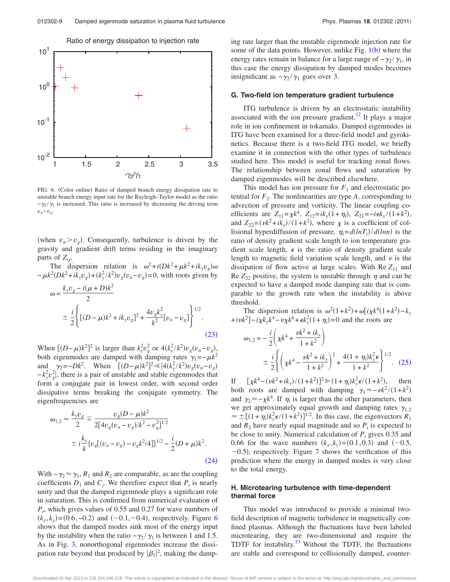<span id="page-9-2"></span>

Ratio of energy dissipation to injection rate

FIG. 6. (Color online) Ratio of damped branch energy dissipation rate to unstable branch energy input rate for the Rayleigh–Taylor model as the ratio  $-\gamma_2/\gamma_1$  is increased. This ratio is increased by decreasing the driving term  $v_n - v_g$ .

(when  $v_n > v_g$ ). Consequently, turbulence is driven by the gravity and gradient drift terms residing in the imaginary parts of *Zij*.

The dispersion relation is  $\omega^2 + i(Dk^2 + \mu k^2 + ik_y v_g)\omega$  $-\mu k^2 (Dk^2 + ik_y v_g) + (k_y^2 / k^2) v_g (v_n - v_g) = 0$ , with roots given by

<span id="page-9-0"></span>
$$
\omega = \frac{k_y v_g - i(\mu + D)k^2}{2}
$$
  

$$
\pm \frac{i}{2} \left\{ [(D - \mu)k^2 + ik_y v_g]^2 + \frac{4v_g k_y^2}{k^2} [v_n - v_g] \right\}^{1/2}.
$$
 (23)

When  $[(D - \mu)k^2]^2$  is larger than  $k_y^2 v_g^2$  or  $4(k_y^2/k^2)v_g(v_n - v_g)$ , both eigenmodes are damped with damping rates  $\gamma_1=-\mu k^2$ and  $\gamma_2 = -Dk^2$ . When  $[(D-\mu)k^2]^2 \le |4(k_y^2/k^2)v_g(v_n - v_g)$  $-k_y^2 v_g^2$ , there is a pair of unstable and stable eigenmodes that form a conjugate pair in lowest order, with second order dissipative terms breaking the conjugate symmetry. The eigenfrequencies are

<span id="page-9-1"></span>
$$
\omega_{1,2} \approx \frac{k_y v_g}{2} \mp \frac{v_g (D - \mu) k^2}{2[4v_g (v_n - v_g)/k^2 - v_g^2]^{1/2}}
$$
  

$$
\pm i \frac{k_y}{k} \{v_g [(v_n - v_g) - v_g k^2 / 4]\}^{1/2} - \frac{i}{2} (D + \mu) k^2.
$$
 (24)

With  $-\gamma_2 \approx \gamma_1$ ,  $R_1$  and  $R_2$  are comparable, as are the coupling coefficients  $D_1$  and  $C_i$ . We therefore expect that  $P_t$  is nearly unity and that the damped eigenmode plays a significant role in saturation. This is confirmed from numerical evaluation of  $P_t$ , which gives values of 0.55 and 0.27 for wave numbers of  $(k_x, k_y)$ =(0.[6](#page-9-2),-0.2) and (-0.1,-0.4), respectively. Figure 6 shows that the damped modes sink most of the energy input by the instability when the ratio  $-\gamma_2 / \gamma_1$  is between 1 and 1.5. As in Fig. [3,](#page-7-0) nonorthogonal eigenmodes increase the dissipation rate beyond that produced by  $|\beta_1|^2$ , making the damping rate larger than the unstable eigenmode injection rate for some of the data points. However, unlike Fig.  $1(b)$  $1(b)$  where the energy rates remain in balance for a large range of  $-\gamma_2 / \gamma_1$ , in this case the energy dissipation by damped modes becomes insignificant as  $-\gamma_2 / \gamma_1$  goes over 3.

#### **G. Two-field ion temperature gradient turbulence**

ITG turbulence is driven by an electrostatic instability associated with the ion pressure gradient.<sup>12</sup> It plays a major role in ion confinement in tokamaks. Damped eigenmodes in ITG have been examined for a three-field model and gyrokinetics. Because there is a two-field ITG model, we briefly examine it in connection with the other types of turbulence studied here. This model is useful for tracking zonal flows. The relationship between zonal flows and saturation by damped eigenmodes will be described elsewhere.

This model has ion pressure for  $F_1$  and electrostatic potential for  $F_2$ . The nonlinearities are type  $A$ , corresponding to advection of pressure and vorticity. The linear coupling coefficients are  $Z_{11} = \chi k^4$ ,  $Z_{12} = ik_y(1 + \eta_i)$ ,  $Z_{21} = -i\epsilon k_y/(1 + k^2)$ , and  $Z_{22} = (\nu k^2 + ik_y)/(1 + k^2)$ , where  $\chi$  is a coefficient of collisional hyperdiffusion of pressure,  $\eta_i = d(lnT_i)/d(lnn)$  is the ratio of density gradient scale length to ion temperature gradient scale length,  $\epsilon$  is the ratio of density gradient scale length to magnetic field variation scale length, and  $\nu$  is the dissipation of flow active at large scales. With  $Re Z_{11}$  and Re  $Z_{22}$  positive, the system is unstable through  $\eta$  and can be expected to have a damped mode damping rate that is comparable to the growth rate when the instability is above threshold.

The dispersion relation is  $\omega^2(1+k^2) + \omega[i\chi k^4(1+k^2) - k_y$  $+i\nu k^2$ ] –  $i\chi k_y k^4 - \nu \chi k^6 + \epsilon k_y^2 (1 + \eta_i) = 0$  and the roots are

<span id="page-9-3"></span>
$$
\omega_{1,2} = -\frac{i}{2} \left( \chi k^4 + \frac{\nu k^2 + ik_y}{1 + k^2} \right)
$$
  
=  $\frac{i}{2} \left\{ \left( \chi k^4 - \frac{\nu k^2 + ik_y}{1 + k^2} \right)^2 + \frac{4(1 + \eta_i)k_y^2 \epsilon}{1 + k^2} \right\}^{1/2}$ . (25)

If  $[\chi k^4 - (\nu k^2 + ik_y)/(1 + k^2)]^2 \ge (1 + \eta_i)k_y^2 \epsilon/(1 + k^2)$ , then both roots are damped with damping  $\gamma_1 \approx -\nu k^2 / (1 + k^2)$ and  $\gamma_2 \approx -\chi k^4$ . If  $\eta_i$  is larger than the other parameters, then we get approximately equal growth and damping rates  $\gamma_{1,2}$  $\approx \pm \left[ (1 + \eta_i) k_y^2 \epsilon / (1 + k^2) \right]^{1/2}$ . In this case, the eigenvectors  $R_1$ and  $R_2$  have nearly equal magnitude and so  $P_t$  is expected to be close to unity. Numerical calculation of  $P<sub>t</sub>$  gives 0.35 and 0.66 for the wave numbers  $(k_x, k_y) = (0.1, 0.3)$  and  $(-0.5,$  $-0.5$ ), respectively. Figure [7](#page-10-0) shows the verification of this prediction where the energy in damped modes is very close to the total energy.

### **H. Microtearing turbulence with time-dependent thermal force**

This model was introduced to provide a minimal twofield description of magnetic turbulence in magnetically confined plasmas. Although the fluctuations have been labeled microtearing, they are two-dimensional and require the TDTF for instability. $13$  Without the TDTF, the fluctuations are stable and correspond to collisionally damped, counter-

Downloaded 15 Apr 2013 to 128.104.166.218. This article is copyrighted as indicated in the abstract. Reuse of AIP content is subject to the terms at: http://pop.aip.org/about/rights\_and\_permissions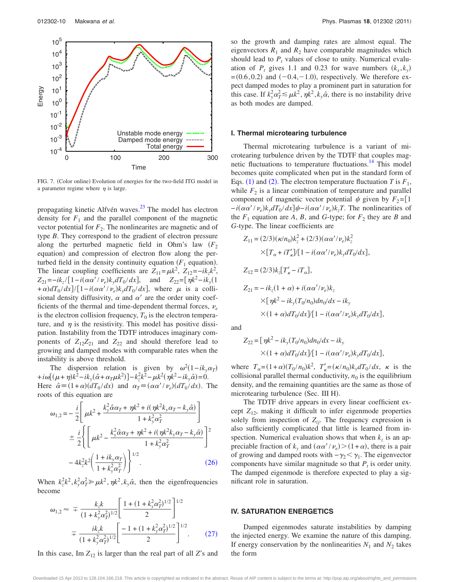<span id="page-10-0"></span>

FIG. 7. (Color online) Evolution of energies for the two-field ITG model in a parameter regime where  $\eta$  is large.

propagating kinetic Alfvén waves.<sup>23</sup> The model has electron density for  $F_1$  and the parallel component of the magnetic vector potential for  $F_2$ . The nonlinearites are magnetic and of type *B*. They correspond to the gradient of electron pressure along the perturbed magnetic field in Ohm's law  $(F_2)$ equation) and compression of electron flow along the perturbed field in the density continuity equation  $(F_1 \text{ equation})$ . The linear coupling coefficients are  $Z_{11} = \mu k^2$ ,  $Z_{12} = -ik_zk^2$ ,  $Z_{21} = -ik_z/[1 - i(\alpha \alpha' / \nu_e)k_y dT_0 / dx],$  and  $Z_{22} = [\eta k^2 - ik_y(1$  $+\alpha$ ) $dT_0$ / $dx$ ]/[1- $i(\alpha \alpha'/\nu_e) k_y dT_0 / dx$ ], where  $\mu$  is a collisional density diffusivity,  $\alpha$  and  $\alpha'$  are the order unity coefficients of the thermal and time-dependent thermal forces,  $v_e$ is the electron collision frequency,  $T_0$  is the electron temperature, and  $\eta$  is the resistivity. This model has positive dissipation. Instability from the TDTF introduces imaginary components of  $Z_{12}Z_{21}$  and  $Z_{22}$  and should therefore lead to growing and damped modes with comparable rates when the instability is above threshold.

The dispersion relation is given by  $\omega^2(1 - ik_y \alpha_T)$  $+i\omega[(\mu + \eta)k^2 - ik_y(\hat{\alpha} + \alpha_T\mu k^2)] - k_z^2k^2 - \mu k^2(\eta k^2 - ik_y\hat{\alpha}) = 0.$ Here  $\hat{\alpha} = (1 + \alpha)(dT_0 / dx)$  and  $\alpha_T = (\alpha \alpha' / \nu_e)(dT_0 / dx)$ . The roots of this equation are

<span id="page-10-1"></span>
$$
\omega_{1,2} = -\frac{i}{2} \left[ \mu k^2 + \frac{k_y^2 \hat{\alpha} \alpha_T + \eta k^2 + i(\eta k^2 k_y \alpha_T - k_y \hat{\alpha})}{1 + k_y^2 \alpha_T^2} \right] \n= \frac{i}{2} \left\{ \left[ \mu k^2 - \frac{k_y^2 \hat{\alpha} \alpha_T + \eta k^2 + i(\eta k^2 k_y \alpha_T - k_y \hat{\alpha})}{1 + k_y^2 \alpha_T^2} \right]^2 \right. \n- 4k_z^2 k^2 \left( \frac{1 + ik_y \alpha_T}{1 + k_y^2 \alpha_T^2} \right)^{1/2} .
$$
\n(26)

When  $k_z^2 k^2$ ,  $k_y^2 \alpha_T^2 \gg \mu k^2$ ,  $\eta k^2$ ,  $k_y \hat{\alpha}$ , then the eigenfrequencies become

<span id="page-10-2"></span>
$$
\omega_{1,2} \approx \mp \frac{k_z k}{(1 + k_y^2 \alpha_T^2)^{1/2}} \left[ \frac{1 + (1 + k_y^2 \alpha_T^2)^{1/2}}{2} \right]^{1/2}
$$

$$
\mp \frac{ik_z k}{(1 + k_y^2 \alpha_T^2)^{1/2}} \left[ \frac{-1 + (1 + k_y^2 \alpha_T^2)^{1/2}}{2} \right]^{1/2} . \tag{27}
$$

In this case, Im  $Z_{12}$  is larger than the real part of all  $Z$ 's and

so the growth and damping rates are almost equal. The eigenvectors  $R_1$  and  $R_2$  have comparable magnitudes which should lead to  $P_t$  values of close to unity. Numerical evaluation of  $P_t$  gives 1.1 and 0.23 for wave numbers  $(k_x, k_y)$  $=(0.6, 0.2)$  and  $(-0.4, -1.0)$ , respectively. We therefore expect damped modes to play a prominent part in saturation for this case. If  $k_y^2 \alpha_T^2 \le \mu k^2$ ,  $\eta k^2$ ,  $k_y \hat{\alpha}$ , there is no instability drive as both modes are damped.

#### **I. Thermal microtearing turbulence**

Thermal microtearing turbulence is a variant of microtearing turbulence driven by the TDTF that couples magnetic fluctuations to temperature fluctuations.<sup>14</sup> This model becomes quite complicated when put in the standard form of Eqs. ([1](#page-2-0)) and ([2](#page-2-1)). The electron temperature fluctuation *T* is  $F_1$ , while  $F_2$  is a linear combination of temperature and parallel component of magnetic vector potential  $\psi$  given by  $F_2 = [1]$  $-i(\alpha \alpha'/\nu_e) k_y dT_0 / dx$ ] $\psi - i(\alpha \alpha'/\nu_e) k_z T$ . The nonlinearities of the  $F_1$  equation are A, B, and G-type; for  $F_2$  they are B and *G*-type. The linear coefficients are

$$
Z_{11} = (2/3)(\kappa/n_0)k_z^2 + (2/3)(\alpha \alpha'/\nu_e)k_z^2
$$
  
\n
$$
\times [T_{\alpha} + iT_{\kappa}]/[1 - i(\alpha \alpha'/\nu_e)k_y dT_0/dx],
$$
  
\n
$$
Z_{12} = (2/3)k_z[T_{\kappa}' - iT_{\alpha}],
$$
  
\n
$$
Z_{21} = -ik_z(1 + \alpha) + i(\alpha \alpha'/\nu_e)k_z
$$
  
\n
$$
\times [\eta k^2 - ik_y(T_0/n_0)dn_0/dx - ik_y
$$
  
\n
$$
\times (1 + \alpha)dT_0/dx]/[1 - i(\alpha \alpha'/\nu_e)k_y dT_0/dx],
$$

and

$$
Z_{22} = \left[\,\eta k^2 - ik_y(T_0/n_0)dn_0/dx - ik_y\right]
$$

$$
\times (1+\alpha)dT_0/dx]/[1 - i(\alpha\alpha'/\nu_e)k_ydT_0/dx],
$$

where  $T_a = (1 + \alpha)(T_0/n_0)k^2$ ,  $T'_k = (\kappa/n_0)k_y dT_0/dx$ ,  $\kappa$  is the collisional parallel thermal conductivity,  $n_0$  is the equilibrium density, and the remaining quantities are the same as those of microtearing turbulence (Sec. III H).

The TDTF drive appears in every linear coefficient except  $Z_{12}$ , making it difficult to infer eigenmode properties solely from inspection of  $Z_{ii}$ . The frequency expression is also sufficiently complicated that little is learned from inspection. Numerical evaluation shows that when  $k_z$  is an appreciable fraction of  $k_y$  and  $(\alpha \alpha'/\nu_e) > (1+\alpha)$ , there is a pair of growing and damped roots with  $-\gamma_2 < \gamma_1$ . The eigenvector components have similar magnitude so that  $P_t$  is order unity. The damped eigenmode is therefore expected to play a significant role in saturation.

#### **IV. SATURATION ENERGETICS**

Damped eigenmodes saturate instabilities by damping the injected energy. We examine the nature of this damping. If energy conservation by the nonlinearities  $N_1$  and  $N_2$  takes the form

Downloaded 15 Apr 2013 to 128.104.166.218. This article is copyrighted as indicated in the abstract. Reuse of AIP content is subject to the terms at: http://pop.aip.org/about/rights\_and\_permissions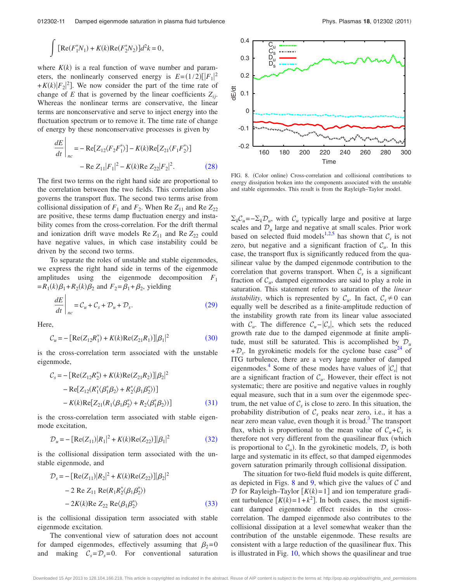$$
\int \left[ \text{Re}(F_1^* N_1) + K(k) \text{Re}(F_2^* N_2) \right] d^2 k = 0,
$$

where  $K(k)$  is a real function of wave number and parameters, the nonlinearly conserved energy is  $E = (1/2) [F_1]^2$  $+ K(k) |F_2|^2$ . We now consider the part of the time rate of change of  $E$  that is governed by the linear coefficients  $Z_{ii}$ . Whereas the nonlinear terms are conservative, the linear terms are nonconservative and serve to inject energy into the fluctuation spectrum or to remove it. The time rate of change of energy by these nonconservative processes is given by

<span id="page-11-2"></span>
$$
\frac{dE}{dt}\bigg|_{nc} = -\operatorname{Re}[Z_{12}\langle F_2 F_1^* \rangle] - K(k)\operatorname{Re}[Z_{21}\langle F_1 F_2^* \rangle] - \operatorname{Re} Z_{11}|F_1|^2 - K(k)\operatorname{Re} Z_{22}|F_2|^2.
$$
 (28)

The first two terms on the right hand side are proportional to the correlation between the two fields. This correlation also governs the transport flux. The second two terms arise from collisional dissipation of  $F_1$  and  $F_2$ . When Re  $Z_{11}$  and Re  $Z_{22}$ are positive, these terms damp fluctuation energy and instability comes from the cross-correlation. For the drift thermal and ionization drift wave models Re  $Z_{11}$  and Re  $Z_{22}$  could have negative values, in which case instability could be driven by the second two terms.

To separate the roles of unstable and stable eigenmodes, we express the right hand side in terms of the eigenmode amplitudes using the eigenmode decomposition *F*<sup>1</sup>  $= R_1(k)\beta_1 + R_2(k)\beta_2$  and  $F_2 = \beta_1 + \beta_2$ , yielding

<span id="page-11-3"></span>
$$
\left. \frac{dE}{dt} \right|_{nc} = C_u + C_s + D_u + D_s. \tag{29}
$$

<span id="page-11-4"></span>Here,

$$
C_u = -[Re(Z_{12}R_1^*) + K(k)Re(Z_{21}R_1)]|\beta_1|^2
$$
 (30)

is the cross-correlation term associated with the unstable eigenmode,

<span id="page-11-0"></span>
$$
C_{s} = -[Re(Z_{12}R_{2}^{*}) + K(k)Re(Z_{21}R_{2})]|\beta_{2}|^{2}
$$
  
- Re[Z<sub>12</sub>(R<sub>1</sub><sup>\*</sup>( $\beta_{1}^{*}\beta_{2}$ ) + R<sub>2</sub><sup>\*</sup>( $\beta_{1}\beta_{2}^{*}$ ))]  
- K(k)Re[Z<sub>21</sub>(R<sub>1</sub>( $\beta_{1}\beta_{2}^{*}$ ) + R<sub>2</sub>( $\beta_{1}^{*}\beta_{2}$ ))] (31)

is the cross-correlation term associated with stable eigenmode excitation,

$$
\mathcal{D}_u = -\left[ \text{Re}(Z_{11}) |R_1|^2 + K(k) \text{Re}(Z_{22}) \right] |\beta_1|^2 \tag{32}
$$

<span id="page-11-5"></span>is the collisional dissipation term associated with the unstable eigenmode, and

<span id="page-11-1"></span>
$$
\mathcal{D}_s = -[\text{Re}(Z_{11})|R_2|^2 + K(k)\text{Re}(Z_{22})]|\beta_2|^2 \n- 2 \text{ Re } Z_{11} \text{ Re}(R_1 R_2^* \langle \beta_1 \beta_2^* \rangle) \n- 2K(k)\text{Re } Z_{22} \text{ Re}\langle \beta_1 \beta_2^* \rangle
$$
\n(33)

is the collisional dissipation term associated with stable eigenmode excitation.

The conventional view of saturation does not account for damped eigenmodes, effectively assuming that  $\beta_2=0$ and making  $C_s = D_s = 0$ . For conventional saturation

<span id="page-11-6"></span>

FIG. 8. (Color online) Cross-correlation and collisional contributions to energy dissipation broken into the components associated with the unstable and stable eigenmodes. This result is from the Rayleigh–Taylor model.

 $\Sigma_k C_u = -\Sigma_k D_u$ , with  $C_u$  typically large and positive at large scales and  $D<sub>u</sub>$  large and negative at small scales. Prior work based on selected fluid models<sup>1,[2](#page-13-1)[,5](#page-13-3)</sup> has shown that  $C_s$  is not zero, but negative and a significant fraction of  $C_u$ . In this case, the transport flux is significantly reduced from the quasilinear value by the damped eigenmode contribution to the correlation that governs transport. When  $C_s$  is a significant fraction of  $C_u$ , damped eigenmodes are said to play a role in saturation. This statement refers to saturation of the *linear instability*, which is represented by  $C_u$ . In fact,  $C_s \neq 0$  can equally well be described as a finite-amplitude reduction of the instability growth rate from its linear value associated with  $C_u$ . The difference  $C_u - |C_s|$ , which sets the reduced growth rate due to the damped eigenmode at finite amplitude, must still be saturated. This is accomplished by  $\mathcal{D}_u$  $+D_s$ . In gyrokinetic models for the cyclone base case<sup>24</sup> of ITG turbulence, there are a very large number of damped eigenmodes.<sup>4</sup> Some of these modes have values of  $\mathcal{C}_s$  that are a significant fraction of  $C_u$ . However, their effect is not systematic; there are positive and negative values in roughly equal measure, such that in a sum over the eigenmode spectrum, the net value of  $C_s$  is close to zero. In this situation, the probability distribution of  $C_s$  peaks near zero, i.e., it has a near zero mean value, even though it is broad.<sup>3</sup> The transport flux, which is proportional to the mean value of  $C_u + C_s$  is therefore not very different from the quasilinear flux (which is proportional to  $C_u$ ). In the gyrokinetic models,  $\mathcal{D}_s$  is both large and systematic in its effect, so that damped eigenmodes govern saturation primarily through collisional dissipation.

The situation for two-field fluid models is quite different, as depicted in Figs.  $8$  and [9,](#page-12-0) which give the values of  $C$  and  $D$  for Rayleigh–Taylor  $[K(k)=1]$  and ion temperature gradient turbulence  $[K(k)=1+k^2]$ . In both cases, the most significant damped eigenmode effect resides in the crosscorrelation. The damped eigenmode also contributes to the collisional dissipation at a level somewhat weaker than the contribution of the unstable eigenmode. These results are consistent with a large reduction of the quasilinear flux. This is illustrated in Fig. [10,](#page-12-1) which shows the quasilinear and true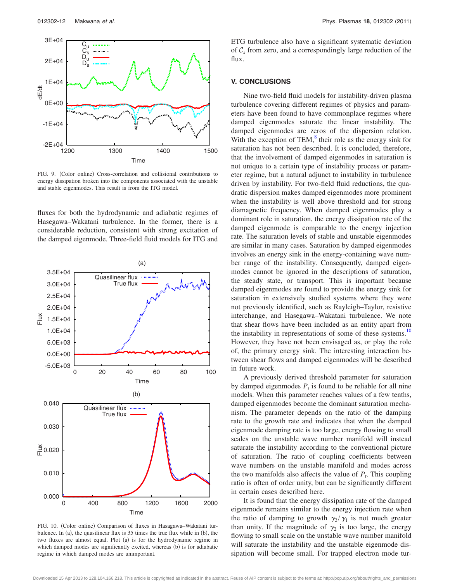<span id="page-12-0"></span>

FIG. 9. (Color online) Cross-correlation and collisional contributions to energy dissipation broken into the components associated with the unstable and stable eigenmodes. This result is from the ITG model.

fluxes for both the hydrodynamic and adiabatic regimes of Hasegawa–Wakatani turbulence. In the former, there is a considerable reduction, consistent with strong excitation of the damped eigenmode. Three-field fluid models for ITG and

<span id="page-12-1"></span>

FIG. 10. (Color online) Comparison of fluxes in Hasagawa-Wakatani turbulence. In  $(a)$ , the quasilinear flux is 35 times the true flux while in  $(b)$ , the two fluxes are almost equal. Plot (a) is for the hydrodynamic regime in which damped modes are significantly excited, whereas (b) is for adiabatic regime in which damped modes are unimportant.

ETG turbulence also have a significant systematic deviation of  $C_s$  from zero, and a correspondingly large reduction of the flux.

#### **V. CONCLUSIONS**

Nine two-field fluid models for instability-driven plasma turbulence covering different regimes of physics and parameters have been found to have commonplace regimes where damped eigenmodes saturate the linear instability. The damped eigenmodes are zeros of the dispersion relation. With the exception of TEM, $\delta$  their role as the energy sink for saturation has not been described. It is concluded, therefore, that the involvement of damped eigenmodes in saturation is not unique to a certain type of instability process or parameter regime, but a natural adjunct to instability in turbulence driven by instability. For two-field fluid reductions, the quadratic dispersion makes damped eigenmodes more prominent when the instability is well above threshold and for strong diamagnetic frequency. When damped eigenmodes play a dominant role in saturation, the energy dissipation rate of the damped eigenmode is comparable to the energy injection rate. The saturation levels of stable and unstable eigenmodes are similar in many cases. Saturation by damped eigenmodes involves an energy sink in the energy-containing wave number range of the instability. Consequently, damped eigenmodes cannot be ignored in the descriptions of saturation, the steady state, or transport. This is important because damped eigenmodes are found to provide the energy sink for saturation in extensively studied systems where they were not previously identified, such as Rayleigh–Taylor, resistive interchange, and Hasegawa–Wakatani turbulence. We note that shear flows have been included as an entity apart from the instability in representations of some of these systems. $10$ However, they have not been envisaged as, or play the role of, the primary energy sink. The interesting interaction between shear flows and damped eigenmodes will be described in future work.

A previously derived threshold parameter for saturation by damped eigenmodes  $P_t$  is found to be reliable for all nine models. When this parameter reaches values of a few tenths, damped eigenmodes become the dominant saturation mechanism. The parameter depends on the ratio of the damping rate to the growth rate and indicates that when the damped eigenmode damping rate is too large, energy flowing to small scales on the unstable wave number manifold will instead saturate the instability according to the conventional picture of saturation. The ratio of coupling coefficients between wave numbers on the unstable manifold and modes across the two manifolds also affects the value of  $P_t$ . This coupling ratio is often of order unity, but can be significantly different in certain cases described here.

It is found that the energy dissipation rate of the damped eigenmode remains similar to the energy injection rate when the ratio of damping to growth  $\gamma_2 / \gamma_1$  is not much greater than unity. If the magnitude of  $\gamma_2$  is too large, the energy flowing to small scale on the unstable wave number manifold will saturate the instability and the unstable eigenmode dissipation will become small. For trapped electron mode tur-